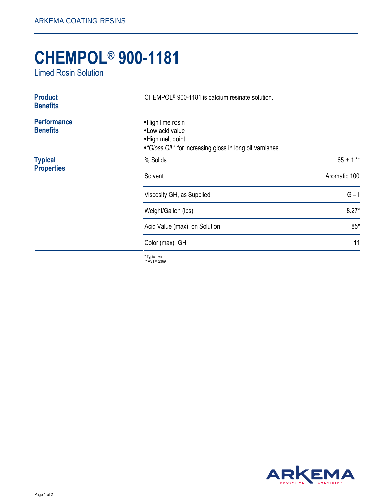## **CHEMPOL® 900-1181**

Limed Rosin Solution

| <b>Product</b><br><b>Benefits</b>     | CHEMPOL <sup>®</sup> 900-1181 is calcium resinate solution.                                                             |               |
|---------------------------------------|-------------------------------------------------------------------------------------------------------------------------|---------------|
| <b>Performance</b><br><b>Benefits</b> | • High lime rosin<br>• Low acid value<br>• High melt point<br>• "Gloss Oil " for increasing gloss in long oil varnishes |               |
| <b>Typical</b><br><b>Properties</b>   | % Solids                                                                                                                | $65 \pm 1$ ** |
|                                       | Solvent                                                                                                                 | Aromatic 100  |
|                                       | Viscosity GH, as Supplied                                                                                               | $G - I$       |
|                                       | Weight/Gallon (lbs)                                                                                                     | $8.27*$       |
|                                       | Acid Value (max), on Solution                                                                                           | $85*$         |
|                                       | Color (max), GH                                                                                                         | 11            |
|                                       | 大学 せいしょうしょう                                                                                                             |               |

\* Typical value \*\* ASTM 2369